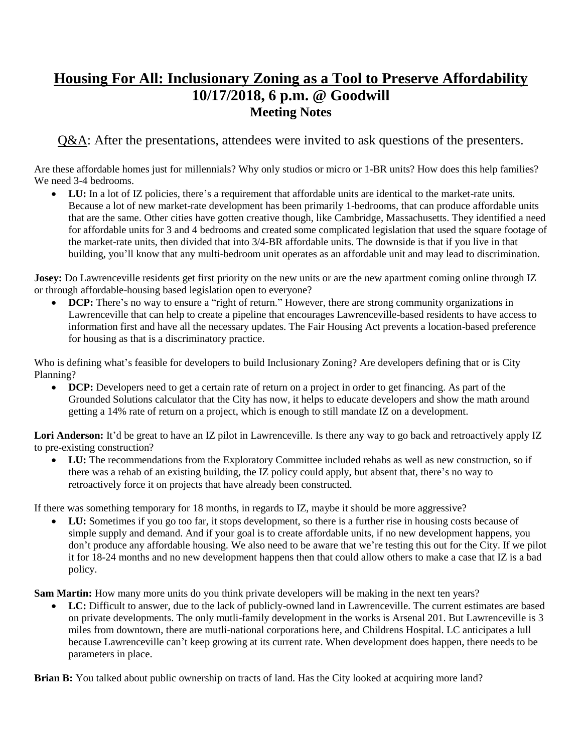# **Housing For All: Inclusionary Zoning as a Tool to Preserve Affordability 10/17/2018, 6 p.m. @ Goodwill Meeting Notes**

Q&A: After the presentations, attendees were invited to ask questions of the presenters.

Are these affordable homes just for millennials? Why only studios or micro or 1-BR units? How does this help families? We need 3-4 bedrooms.

 **LU:** In a lot of IZ policies, there's a requirement that affordable units are identical to the market-rate units. Because a lot of new market-rate development has been primarily 1-bedrooms, that can produce affordable units that are the same. Other cities have gotten creative though, like Cambridge, Massachusetts. They identified a need for affordable units for 3 and 4 bedrooms and created some complicated legislation that used the square footage of the market-rate units, then divided that into 3/4-BR affordable units. The downside is that if you live in that building, you'll know that any multi-bedroom unit operates as an affordable unit and may lead to discrimination.

**Josey:** Do Lawrenceville residents get first priority on the new units or are the new apartment coming online through IZ or through affordable-housing based legislation open to everyone?

**DCP:** There's no way to ensure a "right of return." However, there are strong community organizations in Lawrenceville that can help to create a pipeline that encourages Lawrenceville-based residents to have access to information first and have all the necessary updates. The Fair Housing Act prevents a location-based preference for housing as that is a discriminatory practice.

Who is defining what's feasible for developers to build Inclusionary Zoning? Are developers defining that or is City Planning?

**DCP:** Developers need to get a certain rate of return on a project in order to get financing. As part of the Grounded Solutions calculator that the City has now, it helps to educate developers and show the math around getting a 14% rate of return on a project, which is enough to still mandate IZ on a development.

Lori Anderson: It'd be great to have an IZ pilot in Lawrenceville. Is there any way to go back and retroactively apply IZ to pre-existing construction?

LU: The recommendations from the Exploratory Committee included rehabs as well as new construction, so if there was a rehab of an existing building, the IZ policy could apply, but absent that, there's no way to retroactively force it on projects that have already been constructed.

If there was something temporary for 18 months, in regards to IZ, maybe it should be more aggressive?

 **LU:** Sometimes if you go too far, it stops development, so there is a further rise in housing costs because of simple supply and demand. And if your goal is to create affordable units, if no new development happens, you don't produce any affordable housing. We also need to be aware that we're testing this out for the City. If we pilot it for 18-24 months and no new development happens then that could allow others to make a case that IZ is a bad policy.

**Sam Martin:** How many more units do you think private developers will be making in the next ten years?

LC: Difficult to answer, due to the lack of publicly-owned land in Lawrenceville. The current estimates are based on private developments. The only mutli-family development in the works is Arsenal 201. But Lawrenceville is 3 miles from downtown, there are mutli-national corporations here, and Childrens Hospital. LC anticipates a lull because Lawrenceville can't keep growing at its current rate. When development does happen, there needs to be parameters in place.

**Brian B:** You talked about public ownership on tracts of land. Has the City looked at acquiring more land?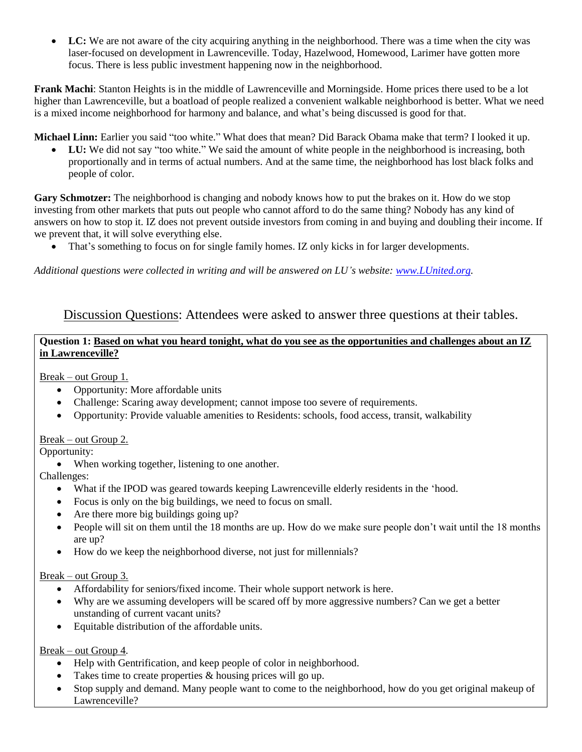**LC:** We are not aware of the city acquiring anything in the neighborhood. There was a time when the city was laser-focused on development in Lawrenceville. Today, Hazelwood, Homewood, Larimer have gotten more focus. There is less public investment happening now in the neighborhood.

**Frank Machi**: Stanton Heights is in the middle of Lawrenceville and Morningside. Home prices there used to be a lot higher than Lawrenceville, but a boatload of people realized a convenient walkable neighborhood is better. What we need is a mixed income neighborhood for harmony and balance, and what's being discussed is good for that.

**Michael Linn:** Earlier you said "too white." What does that mean? Did Barack Obama make that term? I looked it up.

LU: We did not say "too white." We said the amount of white people in the neighborhood is increasing, both proportionally and in terms of actual numbers. And at the same time, the neighborhood has lost black folks and people of color.

**Gary Schmotzer:** The neighborhood is changing and nobody knows how to put the brakes on it. How do we stop investing from other markets that puts out people who cannot afford to do the same thing? Nobody has any kind of answers on how to stop it. IZ does not prevent outside investors from coming in and buying and doubling their income. If we prevent that, it will solve everything else.

That's something to focus on for single family homes. IZ only kicks in for larger developments.

*Additional questions were collected in writing and will be answered on LU's website: [www.LUnited.org.](http://www.lunited.org/)* 

## Discussion Questions: Attendees were asked to answer three questions at their tables.

#### **Question 1: Based on what you heard tonight, what do you see as the opportunities and challenges about an IZ in Lawrenceville?**

Break – out Group 1.

- Opportunity: More affordable units
- Challenge: Scaring away development; cannot impose too severe of requirements.
- Opportunity: Provide valuable amenities to Residents: schools, food access, transit, walkability

#### Break – out Group 2.

Opportunity:

When working together, listening to one another.

Challenges:

- What if the IPOD was geared towards keeping Lawrenceville elderly residents in the 'hood.
- Focus is only on the big buildings, we need to focus on small.
- Are there more big buildings going up?
- People will sit on them until the 18 months are up. How do we make sure people don't wait until the 18 months are up?
- How do we keep the neighborhood diverse, not just for millennials?

#### Break – out Group 3.

- Affordability for seniors/fixed income. Their whole support network is here.
- Why are we assuming developers will be scared off by more aggressive numbers? Can we get a better unstanding of current vacant units?
- Equitable distribution of the affordable units.

#### Break – out Group 4.

- Help with Gentrification, and keep people of color in neighborhood.
- Takes time to create properties & housing prices will go up.
- Stop supply and demand. Many people want to come to the neighborhood, how do you get original makeup of Lawrenceville?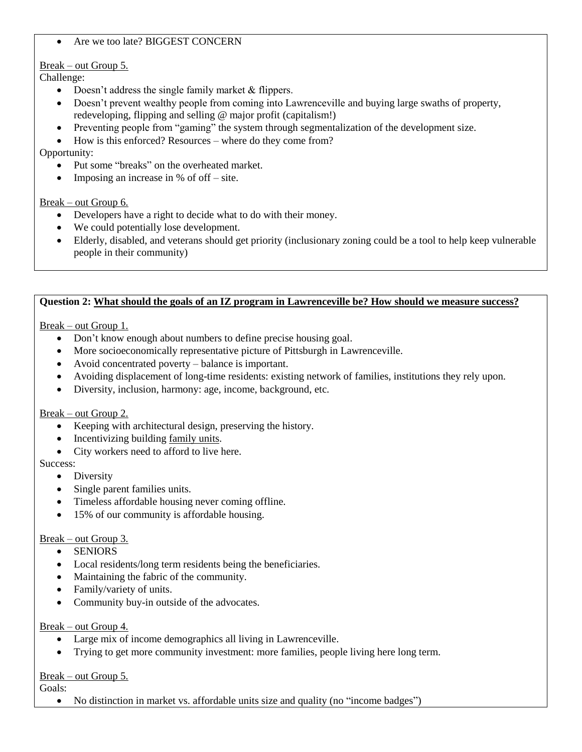#### • Are we too late? BIGGEST CONCERN

### Break – out Group 5.

Challenge:

- Doesn't address the single family market & flippers.
- Doesn't prevent wealthy people from coming into Lawrenceville and buying large swaths of property, redeveloping, flipping and selling @ major profit (capitalism!)
- Preventing people from "gaming" the system through segmentalization of the development size.
- How is this enforced? Resources where do they come from?

Opportunity:

- Put some "breaks" on the overheated market.
- Imposing an increase in  $%$  of off site.

#### Break – out Group 6.

- Developers have a right to decide what to do with their money.
- We could potentially lose development.
- Elderly, disabled, and veterans should get priority (inclusionary zoning could be a tool to help keep vulnerable people in their community)

#### **Question 2: What should the goals of an IZ program in Lawrenceville be? How should we measure success?**

Break – out Group 1.

- Don't know enough about numbers to define precise housing goal.
- More socioeconomically representative picture of Pittsburgh in Lawrenceville.
- Avoid concentrated poverty balance is important.
- Avoiding displacement of long-time residents: existing network of families, institutions they rely upon.
- Diversity, inclusion, harmony: age, income, background, etc.

#### Break – out Group 2.

- Keeping with architectural design, preserving the history.
- Incentivizing building family units.
- City workers need to afford to live here.

Success:

- Diversity
- Single parent families units.
- Timeless affordable housing never coming offline.
- 15% of our community is affordable housing.

#### Break – out Group 3.

- SENIORS
- Local residents/long term residents being the beneficiaries.
- Maintaining the fabric of the community.
- Family/variety of units.
- Community buy-in outside of the advocates.

#### Break – out Group 4.

- Large mix of income demographics all living in Lawrenceville.
- Trying to get more community investment: more families, people living here long term.

#### Break – out Group 5.

Goals:

No distinction in market vs. affordable units size and quality (no "income badges")